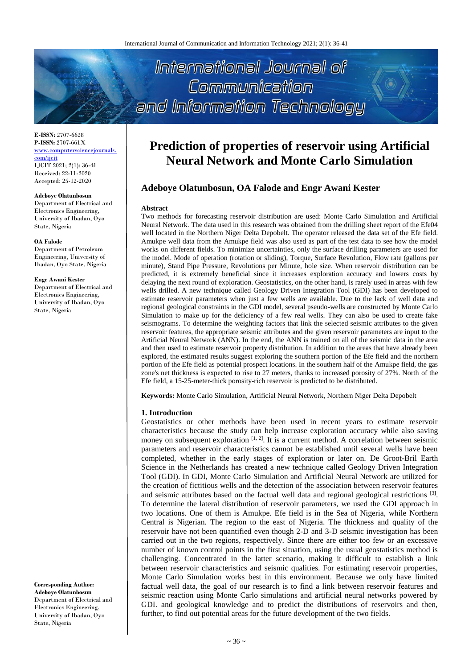International Journal of Communication and Information Technology

**E-ISSN:** 2707-6628 **P-ISSN:** 2707-661X [www.computersciencejournals.](http://www.computersciencejournals.com/ijcit)

[com/ijcit](http://www.computersciencejournals.com/ijcit) IJCIT 2021; 2(1): 36-41 Received: 22-11-2020 Accepted: 25-12-2020

### **Adeboye Olatunbosun**

Department of Electrical and Electronics Engineering, University of Ibadan, Oyo State, Nigeria

#### **OA Falode**

Department of Petroleum Engineering, University of Ibadan, Oyo State, Nigeria

#### **Engr Awani Kester**

Department of Electrical and Electronics Engineering, University of Ibadan, Oyo State, Nigeria

**Corresponding Author: Adeboye Olatunbosun** Department of Electrical and Electronics Engineering, University of Ibadan, Oyo State, Nigeria

# **Prediction of properties of reservoir using Artificial Neural Network and Monte Carlo Simulation**

# **Adeboye Olatunbosun, OA Falode and Engr Awani Kester**

#### **Abstract**

Two methods for forecasting reservoir distribution are used: Monte Carlo Simulation and Artificial Neural Network. The data used in this research was obtained from the drilling sheet report of the Efe04 well located in the Northern Niger Delta Depobelt. The operator released the data set of the Efe field. Amukpe well data from the Amukpe field was also used as part of the test data to see how the model works on different fields. To minimize uncertainties, only the surface drilling parameters are used for the model. Mode of operation (rotation or sliding), Torque, Surface Revolution, Flow rate (gallons per minute), Stand Pipe Pressure, Revolutions per Minute, hole size. When reservoir distribution can be predicted, it is extremely beneficial since it increases exploration accuracy and lowers costs by delaying the next round of exploration. Geostatistics, on the other hand, is rarely used in areas with few wells drilled. A new technique called Geology Driven Integration Tool (GDI) has been developed to estimate reservoir parameters when just a few wells are available. Due to the lack of well data and regional geological constraints in the GDI model, several pseudo-wells are constructed by Monte Carlo Simulation to make up for the deficiency of a few real wells. They can also be used to create fake seismograms. To determine the weighting factors that link the selected seismic attributes to the given reservoir features, the appropriate seismic attributes and the given reservoir parameters are input to the Artificial Neural Network (ANN). In the end, the ANN is trained on all of the seismic data in the area and then used to estimate reservoir property distribution. In addition to the areas that have already been explored, the estimated results suggest exploring the southern portion of the Efe field and the northern portion of the Efe field as potential prospect locations. In the southern half of the Amukpe field, the gas zone's net thickness is expected to rise to 27 meters, thanks to increased porosity of 27%. North of the Efe field, a 15-25-meter-thick porosity-rich reservoir is predicted to be distributed.

**Keywords:** Monte Carlo Simulation, Artificial Neural Network, Northern Niger Delta Depobelt

## **1. Introduction**

Geostatistics or other methods have been used in recent years to estimate reservoir characteristics because the study can help increase exploration accuracy while also saving money on subsequent exploration  $[1, 2]$ . It is a current method. A correlation between seismic parameters and reservoir characteristics cannot be established until several wells have been completed, whether in the early stages of exploration or later on. De Groot-Bril Earth Science in the Netherlands has created a new technique called Geology Driven Integration Tool (GDI). In GDI, Monte Carlo Simulation and Artificial Neural Network are utilized for the creation of fictitious wells and the detection of the association between reservoir features and seismic attributes based on the factual well data and regional geological restrictions [3]. To determine the lateral distribution of reservoir parameters, we used the GDI approach in two locations. One of them is Amukpe. Efe field is in the Sea of Nigeria, while Northern Central is Nigerian. The region to the east of Nigeria. The thickness and quality of the reservoir have not been quantified even though 2-D and 3-D seismic investigation has been carried out in the two regions, respectively. Since there are either too few or an excessive number of known control points in the first situation, using the usual geostatistics method is challenging. Concentrated in the latter scenario, making it difficult to establish a link between reservoir characteristics and seismic qualities. For estimating reservoir properties, Monte Carlo Simulation works best in this environment. Because we only have limited factual well data, the goal of our research is to find a link between reservoir features and seismic reaction using Monte Carlo simulations and artificial neural networks powered by GDI. and geological knowledge and to predict the distributions of reservoirs and then, further, to find out potential areas for the future development of the two fields.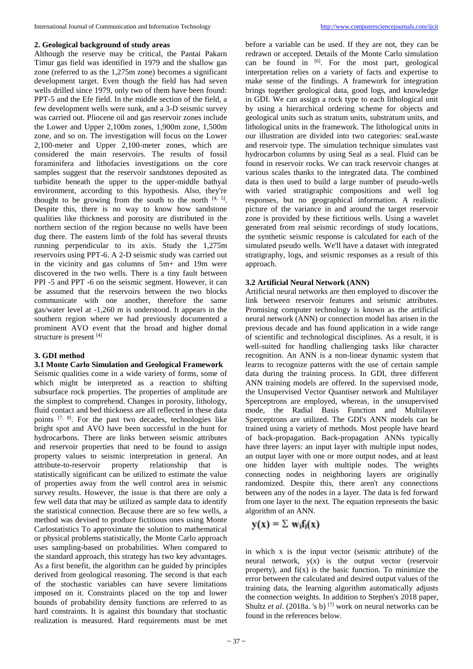## **2. Geological background of study areas**

Although the reserve may be critical, the Pantai Pakarn Timur gas field was identified in 1979 and the shallow gas zone (referred to as the 1,275m zone) becomes a significant development target. Even though the field has had seven wells drilled since 1979, only two of them have been found: PPT-5 and the Efe field. In the middle section of the field, a few development wells were sunk, and a 3-D seismic survey was carried out. Pliocene oil and gas reservoir zones include the Lower and Upper 2,100m zones, 1,900m zone, 1,500m zone, and so on. The investigation will focus on the Lower 2,100-meter and Upper 2,100-meter zones, which are considered the main reservoirs. The results of fossil foraminifera and lithofacies investigations on the core samples suggest that the reservoir sandstones deposited as turbidite beneath the upper to the upper-middle bathyal environment, according to this hypothesis. Also, they're thought to be growing from the south to the north  $[4, 5]$ . Despite this, there is no way to know how sandstone qualities like thickness and porosity are distributed in the northern section of the region because no wells have been dug there. The eastern limb of the fold has several thrusts running perpendicular to its axis. Study the 1,275m reservoirs using PPT-6. A 2-D seismic study was carried out in the vicinity and gas columns of 5m+ and 19m were discovered in the two wells. There is a tiny fault between PPI -5 and PPT -6 on the seismic segment. However, it can be assumed that the reservoirs between the two blocks communicate with one another, therefore the same gas/water level at -1,260 m is understood. It appears in the southern region where we had previously documented a prominent AVO event that the broad and higher domal structure is present [4]

# **3. GDI method**

# **3.1 Monte Carlo Simulation and Geological Framework**

Seismic qualities come in a wide variety of forms, some of which might be interpreted as a reaction to shifting subsurface rock properties. The properties of amplitude are the simplest to comprehend. Changes in porosity, lithology, fluid contact and bed thickness are all reflected in these data points  $[7, 8]$ . For the past two decades, technologies like bright spot and AVO have been successful in the hunt for hydrocarbons. There are links between seismic attributes and reservoir properties that need to be found to assign property values to seismic interpretation in general. An attribute-to-reservoir property relationship that is attribute-to-reservoir property relationship that is statistically significant can be utilized to estimate the value of properties away from the well control area in seismic survey results. However, the issue is that there are only a few well data that may be utilized as sample data to identify the statistical connection. Because there are so few wells, a method was devised to produce fictitious ones using Monte Carlostatistics To approximate the solution to mathematical or physical problems statistically, the Monte Carlo approach uses sampling-based on probabilities. When compared to the standard approach, this strategy has two key advantages. As a first benefit, the algorithm can be guided by principles derived from geological reasoning. The second is that each of the stochastic variables can have severe limitations imposed on it. Constraints placed on the top and lower bounds of probability density functions are referred to as hard constraints. It is against this boundary that stochastic realization is measured. Hard requirements must be met

before a variable can be used. If they are not, they can be redrawn or accepted. Details of the Monte Carlo simulation can be found in [6]. For the most part, geological interpretation relies on a variety of facts and expertise to make sense of the findings. A framework for integration brings together geological data, good logs, and knowledge in GDI. We can assign a rock type to each lithological unit by using a hierarchical ordering scheme for objects and geological units such as stratum units, substratum units, and lithological units in the framework. The lithological units in our illustration are divided into two categories: seaLwaste and reservoir type. The simulation technique simulates vast hydrocarbon columns by using Seal as a seal. Fluid can be found in reservoir rocks. We can track reservoir changes at various scales thanks to the integrated data. The combined data is then used to build a large number of pseudo-wells with varied stratigraphic compositions and well log responses, but no geographical information. A realistic picture of the variance in and around the target reservoir zone is provided by these fictitious wells. Using a wavelet generated from real seismic recordings of study locations, the synthetic seismic response is calculated for each of the simulated pseudo wells. We'll have a dataset with integrated stratigraphy, logs, and seismic responses as a result of this approach.

## **3.2 Artificial Neural Network (ANN)**

Artificial neural networks are then employed to discover the link between reservoir features and seismic attributes. Promising computer technology is known as the artificial neural network (ANN) or connection model has arisen in the previous decade and has found application in a wide range of scientific and technological disciplines. As a result, it is well-suited for handling challenging tasks like character recognition. An ANN is a non-linear dynamic system that learns to recognize patterns with the use of certain sample data during the training process. In GDI, three different ANN training models are offered. In the supervised mode, the Unsupervised Vector Quantiser network and Multilayer Sperceptrons are employed, whereas, in the unsupervised mode, the Radial Basis Function and Multilayer Sperceptrons are utilized. The GDI's ANN models can be trained using a variety of methods. Most people have heard of back-propagation. Back-propagation ANNs typically have three layers: an input layer with multiple input nodes, an output layer with one or more output nodes, and at least one hidden layer with multiple nodes. The weights connecting nodes in neighboring layers are originally randomized. Despite this, there aren't any connections between any of the nodes in a layer. The data is fed forward from one layer to the next. The equation represents the basic algorithm of an ANN.

$$
y(x) = \sum w_i f_i(x)
$$

in which x is the input vector (seismic attribute) of the neural network,  $y(x)$  is the output vector (reservoir property), and  $f(x)$  is the basic function. To minimize the error between the calculated and desired output values of the training data, the learning algorithm automatically adjusts the connection weights. In addition to Stephen's 2018 paper, Shultz *et al.* (2018a. 's b)<sup>[7]</sup> work on neural networks can be found in the references below.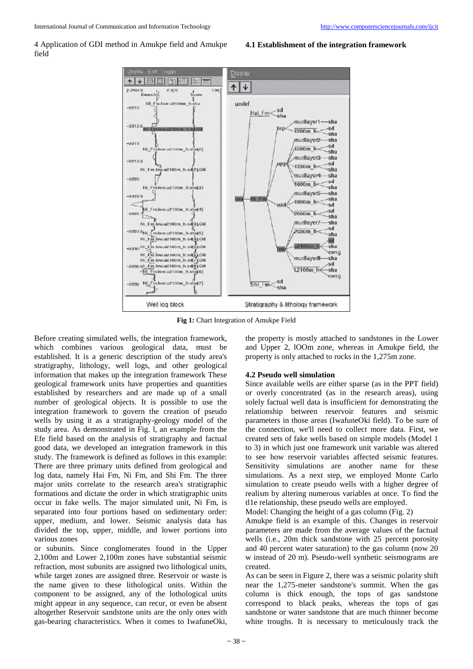4 Application of GDI method in Amukpe field and Amukpe field

## **4.1 Establishment of the integration framework**



**Fig 1:** Chart Integration of Amukpe Field

Before creating simulated wells, the integration framework, which combines various geological data, must be established. It is a generic description of the study area's stratigraphy, lithology, well logs, and other geological information that makes up the integration framework These geological framework units have properties and quantities established by researchers and are made up of a small number of geological objects. It is possible to use the integration framework to govern the creation of pseudo wells by using it as a stratigraphy-geology model of the study area. As demonstrated in Fig. l, an example from the Efe field based on the analysis of stratigraphy and factual good data, we developed an integration framework in this study. The framework is defined as follows in this example: There are three primary units defined from geological and log data, namely Hai Fm, Ni Fm, and Shi Fm. The three major units correlate to the research area's stratigraphic formations and dictate the order in which stratigraphic units occur in fake wells. The major simulated unit, Ni Fm, is separated into four portions based on sedimentary order: upper, medium, and lower. Seismic analysis data has divided the top, upper, middle, and lower portions into various zones

or subunits. Since conglomerates found in the Upper 2,100m and Lower 2,100m zones have substantial seismic refraction, most subunits are assigned two lithological units, while target zones are assigned three. Reservoir or waste is the name given to these lithological units. Within the component to be assigned, any of the lothological units might appear in any sequence, can recur, or even be absent altogether Reservoir sandstone units are the only ones with gas-bearing characteristics. When it comes to IwafuneOki,

the property is mostly attached to sandstones in the Lower and Upper 2, lOOm zone, whereas in Amukpe field, the property is only attached to rocks in the 1,275m zone.

## **4.2 Pseudo well simulation**

Since available wells are either sparse (as in the PPT field) or overly concentrated (as in the research areas), using solely factual well data is insufficient for demonstrating the relationship between reservoir features and seismic parameters in those areas (IwafuneOki field). To be sure of the connection, we'll need to collect more data. First, we created sets of fake wells based on simple models (Model 1 to 3) in which just one framework unit variable was altered to see how reservoir variables affected seismic features. Sensitivity simulations are another name for these simulations. As a next step, we employed Monte Carlo simulation to create pseudo wells with a higher degree of realism by altering numerous variables at once. To find the tl1e relationship, these pseudo wells are employed.

Model: Changing the height of a gas column (Fig. 2)

Amukpe field is an example of this. Changes in reservoir parameters are made from the average values of the factual wells (i.e., 20m thick sandstone with 25 percent porosity and 40 percent water saturation) to the gas column (now 20 w instead of 20 m). Pseudo-well synthetic seismograms are created.

As can be seen in Figure 2, there was a seismic polarity shift near the 1,275-meter sandstone's summit. When the gas column is thick enough, the tops of gas sandstone correspond to black peaks, whereas the tops of gas sandstone or water sandstone that are much thinner become white troughs. It is necessary to meticulously track the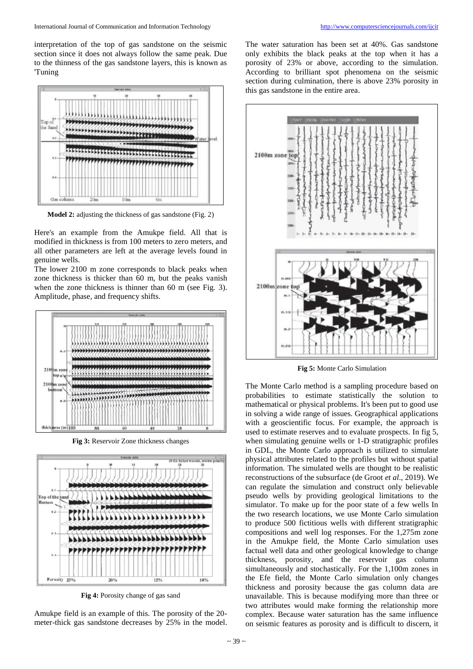interpretation of the top of gas sandstone on the seismic section since it does not always follow the same peak. Due to the thinness of the gas sandstone layers, this is known as 'Tuning



**Model 2:** adjusting the thickness of gas sandstone (Fig. 2)

Here's an example from the Amukpe field. All that is modified in thickness is from 100 meters to zero meters, and all other parameters are left at the average levels found in genuine wells.

The lower 2100 m zone corresponds to black peaks when zone thickness is thicker than 60 m, but the peaks vanish when the zone thickness is thinner than 60 m (see Fig. 3). Amplitude, phase, and frequency shifts.



**Fig 3:** Reservoir Zone thickness changes



**Fig 4:** Porosity change of gas sand

Amukpe field is an example of this. The porosity of the 20 meter-thick gas sandstone decreases by 25% in the model.

The water saturation has been set at 40%. Gas sandstone only exhibits the black peaks at the top when it has a porosity of 23% or above, according to the simulation. According to brilliant spot phenomena on the seismic section during culmination, there is above 23% porosity in this gas sandstone in the entire area.



**Fig 5:** Monte Carlo Simulation

The Monte Carlo method is a sampling procedure based on probabilities to estimate statistically the solution to mathematical or physical problems. It's been put to good use in solving a wide range of issues. Geographical applications with a geoscientific focus. For example, the approach is used to estimate reserves and to evaluate prospects. In fig 5, when simulating genuine wells or 1-D stratigraphic profiles in GDL, the Monte Carlo approach is utilized to simulate physical attributes related to the profiles but without spatial information. The simulated wells are thought to be realistic reconstructions of the subsurface (de Groot *et al*., 2019). We can regulate the simulation and construct only believable pseudo wells by providing geological limitations to the simulator. To make up for the poor state of a few wells In the two research locations, we use Monte Carlo simulation to produce 500 fictitious wells with different stratigraphic compositions and well log responses. For the 1,275m zone in the Amukpe field, the Monte Carlo simulation uses factual well data and other geological knowledge to change thickness, porosity, and the reservoir gas column simultaneously and stochastically. For the 1,100m zones in the Efe field, the Monte Carlo simulation only changes thickness and porosity because the gas column data are unavailable. This is because modifying more than three or two attributes would make forming the relationship more complex. Because water saturation has the same influence on seismic features as porosity and is difficult to discern, it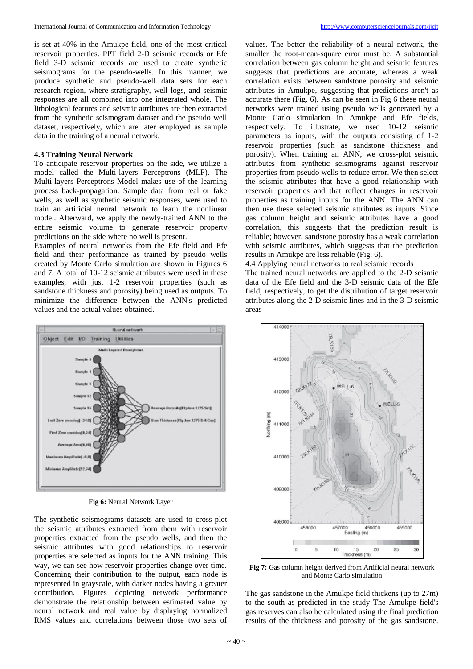is set at 40% in the Amukpe field, one of the most critical reservoir properties. PPT field 2-D seismic records or Efe field 3-D seismic records are used to create synthetic seismograms for the pseudo-wells. In this manner, we produce synthetic and pseudo-well data sets for each research region, where stratigraphy, well logs, and seismic responses are all combined into one integrated whole. The lithological features and seismic attributes are then extracted from the synthetic seismogram dataset and the pseudo well dataset, respectively, which are later employed as sample data in the training of a neural network.

## **4.3 Training Neural Network**

To anticipate reservoir properties on the side, we utilize a model called the Multi-layers Perceptrons (MLP). The Multi-layers Perceptrons Model makes use of the learning process back-propagation. Sample data from real or fake wells, as well as synthetic seismic responses, were used to train an artificial neural network to learn the nonlinear model. Afterward, we apply the newly-trained ANN to the entire seismic volume to generate reservoir property predictions on the side where no well is present.

Examples of neural networks from the Efe field and Efe field and their performance as trained by pseudo wells created by Monte Carlo simulation are shown in Figures 6 and 7. A total of 10-12 seismic attributes were used in these examples, with just 1-2 reservoir properties (such as sandstone thickness and porosity) being used as outputs. To minimize the difference between the ANN's predicted values and the actual values obtained.



**Fig 6:** Neural Network Layer

The synthetic seismograms datasets are used to cross-plot the seismic attributes extracted from them with reservoir properties extracted from the pseudo wells, and then the seismic attributes with good relationships to reservoir properties are selected as inputs for the ANN training. This way, we can see how reservoir properties change over time. Concerning their contribution to the output, each node is represented in grayscale, with darker nodes having a greater contribution. Figures depicting network performance demonstrate the relationship between estimated value by neural network and real value by displaying normalized RMS values and correlations between those two sets of

smaller the root-mean-square error must be. A substantial correlation between gas column height and seismic features suggests that predictions are accurate, whereas a weak correlation exists between sandstone porosity and seismic attributes in Amukpe, suggesting that predictions aren't as accurate there (Fig. 6). As can be seen in Fig 6 these neural networks were trained using pseudo wells generated by a Monte Carlo simulation in Amukpe and Efe fields, respectively. To illustrate, we used 10-12 seismic parameters as inputs, with the outputs consisting of 1-2 reservoir properties (such as sandstone thickness and porosity). When training an ANN, we cross-plot seismic attributes from synthetic seismograms against reservoir properties from pseudo wells to reduce error. We then select the seismic attributes that have a good relationship with reservoir properties and that reflect changes in reservoir properties as training inputs for the ANN. The ANN can then use these selected seismic attributes as inputs. Since gas column height and seismic attributes have a good correlation, this suggests that the prediction result is reliable; however, sandstone porosity has a weak correlation with seismic attributes, which suggests that the prediction results in Amukpe are less reliable (Fig. 6).

values. The better the reliability of a neural network, the

4.4 Applying neural networks to real seismic records The trained neural networks are applied to the 2-D seismic data of the Efe field and the 3-D seismic data of the Efe field, respectively, to get the distribution of target reservoir attributes along the 2-D seismic lines and in the 3-D seismic areas



**Fig 7:** Gas column height derived from Artificial neural network and Monte Carlo simulation

The gas sandstone in the Amukpe field thickens (up to 27m) to the south as predicted in the study The Amukpe field's gas reserves can also be calculated using the final prediction results of the thickness and porosity of the gas sandstone.